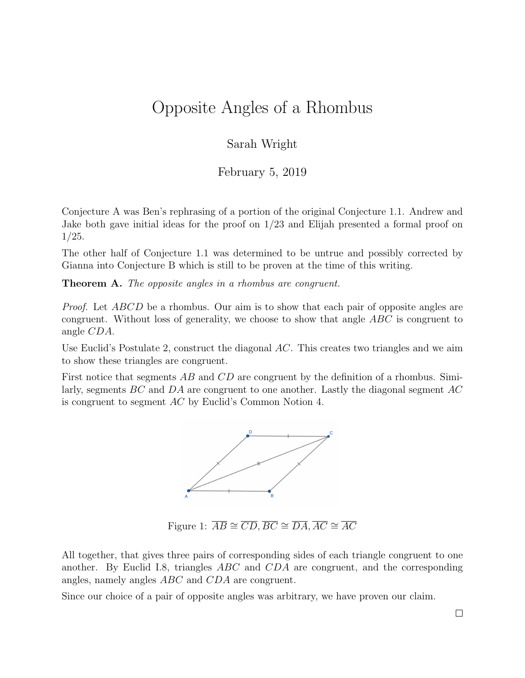## Opposite Angles of a Rhombus

## Sarah Wright

## February 5, 2019

Conjecture A was Ben's rephrasing of a portion of the original Conjecture 1.1. Andrew and Jake both gave initial ideas for the proof on 1/23 and Elijah presented a formal proof on 1/25.

The other half of Conjecture 1.1 was determined to be untrue and possibly corrected by Gianna into Conjecture B which is still to be proven at the time of this writing.

Theorem A. The opposite angles in a rhombus are congruent.

*Proof.* Let *ABCD* be a rhombus. Our aim is to show that each pair of opposite angles are congruent. Without loss of generality, we choose to show that angle ABC is congruent to angle CDA.

Use Euclid's Postulate 2, construct the diagonal AC. This creates two triangles and we aim to show these triangles are congruent.

First notice that segments AB and CD are congruent by the definition of a rhombus. Similarly, segments  $BC$  and  $DA$  are congruent to one another. Lastly the diagonal segment  $AC$ is congruent to segment AC by Euclid's Common Notion 4.



Figure 1:  $\overline{AB} \cong \overline{CD}, \overline{BC} \cong \overline{DA}, \overline{AC} \cong \overline{AC}$ 

All together, that gives three pairs of corresponding sides of each triangle congruent to one another. By Euclid I.8, triangles ABC and CDA are congruent, and the corresponding angles, namely angles ABC and CDA are congruent.

Since our choice of a pair of opposite angles was arbitrary, we have proven our claim.